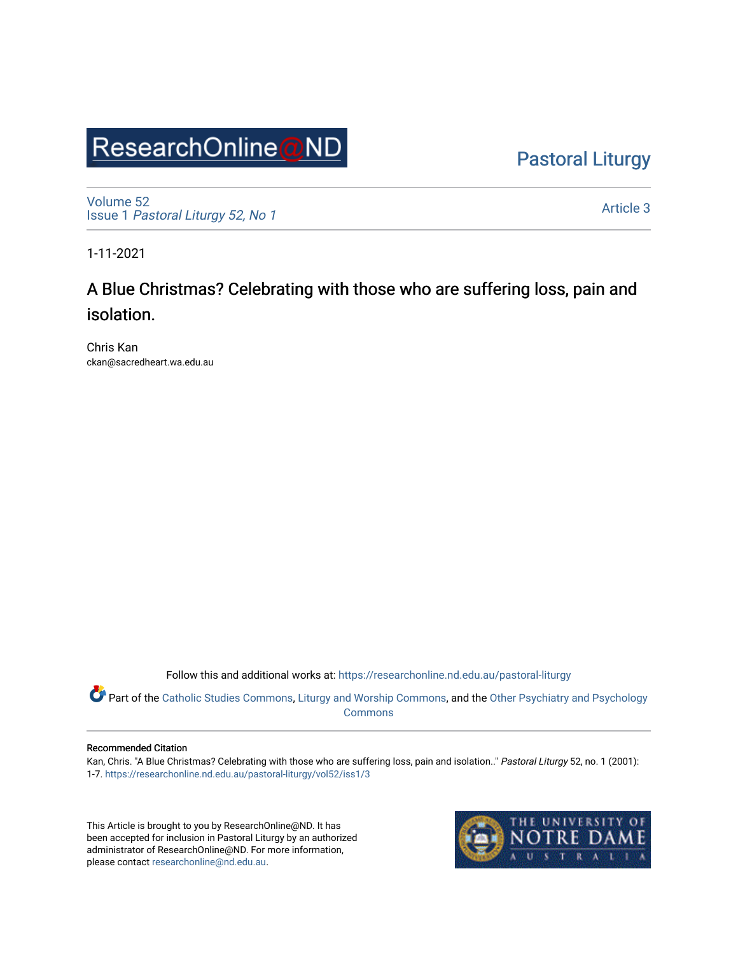# ResearchOnline@ND

[Pastoral Liturgy](https://researchonline.nd.edu.au/pastoral-liturgy) 

[Volume 52](https://researchonline.nd.edu.au/pastoral-liturgy/vol52) Issue 1 [Pastoral Liturgy 52, No 1](https://researchonline.nd.edu.au/pastoral-liturgy/vol52/iss1)

[Article 3](https://researchonline.nd.edu.au/pastoral-liturgy/vol52/iss1/3) 

1-11-2021

## A Blue Christmas? Celebrating with those who are suffering loss, pain and isolation.

Chris Kan ckan@sacredheart.wa.edu.au

Follow this and additional works at: [https://researchonline.nd.edu.au/pastoral-liturgy](https://researchonline.nd.edu.au/pastoral-liturgy?utm_source=researchonline.nd.edu.au%2Fpastoral-liturgy%2Fvol52%2Fiss1%2F3&utm_medium=PDF&utm_campaign=PDFCoverPages)

Part of the [Catholic Studies Commons](http://network.bepress.com/hgg/discipline/1294?utm_source=researchonline.nd.edu.au%2Fpastoral-liturgy%2Fvol52%2Fiss1%2F3&utm_medium=PDF&utm_campaign=PDFCoverPages), [Liturgy and Worship Commons](http://network.bepress.com/hgg/discipline/1188?utm_source=researchonline.nd.edu.au%2Fpastoral-liturgy%2Fvol52%2Fiss1%2F3&utm_medium=PDF&utm_campaign=PDFCoverPages), and the Other Psychiatry and Psychology [Commons](http://network.bepress.com/hgg/discipline/992?utm_source=researchonline.nd.edu.au%2Fpastoral-liturgy%2Fvol52%2Fiss1%2F3&utm_medium=PDF&utm_campaign=PDFCoverPages) 

#### Recommended Citation

Kan, Chris. "A Blue Christmas? Celebrating with those who are suffering loss, pain and isolation.." Pastoral Liturgy 52, no. 1 (2001): 1-7. [https://researchonline.nd.edu.au/pastoral-liturgy/vol52/iss1/3](https://researchonline.nd.edu.au/pastoral-liturgy/vol52/iss1/3?utm_source=researchonline.nd.edu.au%2Fpastoral-liturgy%2Fvol52%2Fiss1%2F3&utm_medium=PDF&utm_campaign=PDFCoverPages)

This Article is brought to you by ResearchOnline@ND. It has been accepted for inclusion in Pastoral Liturgy by an authorized administrator of ResearchOnline@ND. For more information, please contact [researchonline@nd.edu.au.](mailto:researchonline@nd.edu.au)

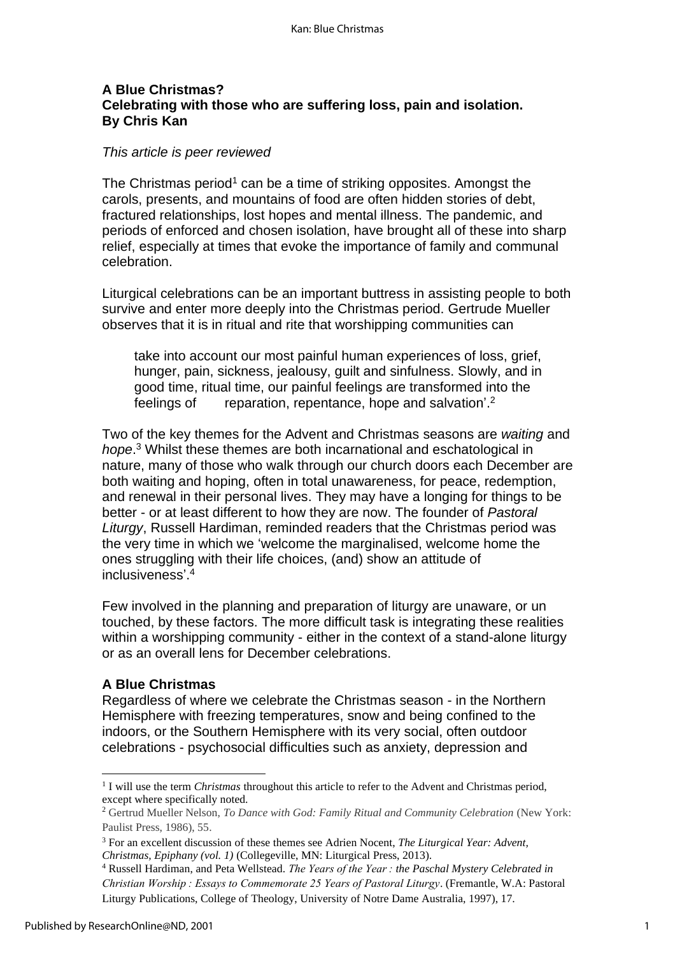### **A Blue Christmas? Celebrating with those who are suffering loss, pain and isolation. By Chris Kan**

#### *This article is peer reviewed*

The Christmas period<sup>1</sup> can be a time of striking opposites. Amongst the carols, presents, and mountains of food are often hidden stories of debt, fractured relationships, lost hopes and mental illness. The pandemic, and periods of enforced and chosen isolation, have brought all of these into sharp relief, especially at times that evoke the importance of family and communal celebration.

Liturgical celebrations can be an important buttress in assisting people to both survive and enter more deeply into the Christmas period. Gertrude Mueller observes that it is in ritual and rite that worshipping communities can

take into account our most painful human experiences of loss, grief, hunger, pain, sickness, jealousy, guilt and sinfulness. Slowly, and in good time, ritual time, our painful feelings are transformed into the feelings of reparation, repentance, hope and salvation'.<sup>2</sup>

Two of the key themes for the Advent and Christmas seasons are *waiting* and *hope*. <sup>3</sup> Whilst these themes are both incarnational and eschatological in nature, many of those who walk through our church doors each December are both waiting and hoping, often in total unawareness, for peace, redemption, and renewal in their personal lives. They may have a longing for things to be better - or at least different to how they are now. The founder of *Pastoral Liturgy*, Russell Hardiman, reminded readers that the Christmas period was the very time in which we 'welcome the marginalised, welcome home the ones struggling with their life choices, (and) show an attitude of inclusiveness'. 4

Few involved in the planning and preparation of liturgy are unaware, or un touched, by these factors. The more difficult task is integrating these realities within a worshipping community - either in the context of a stand-alone liturgy or as an overall lens for December celebrations.

#### **A Blue Christmas**

Regardless of where we celebrate the Christmas season - in the Northern Hemisphere with freezing temperatures, snow and being confined to the indoors, or the Southern Hemisphere with its very social, often outdoor celebrations - psychosocial difficulties such as anxiety, depression and

<sup>&</sup>lt;sup>1</sup> I will use the term *Christmas* throughout this article to refer to the Advent and Christmas period, except where specifically noted.

<sup>2</sup> Gertrud Mueller Nelson, *To Dance with God: Family Ritual and Community Celebration* (New York: Paulist Press, 1986), 55.

<sup>3</sup> For an excellent discussion of these themes see Adrien Nocent, *The Liturgical Year: Advent, Christmas, Epiphany (vol. 1)* (Collegeville, MN: Liturgical Press, 2013).

<sup>4</sup> Russell Hardiman, and Peta Wellstead. *The Years of the Year : the Paschal Mystery Celebrated in Christian Worship : Essays to Commemorate 25 Years of Pastoral Liturgy*. (Fremantle, W.A: Pastoral Liturgy Publications, College of Theology, University of Notre Dame Australia, 1997), 17.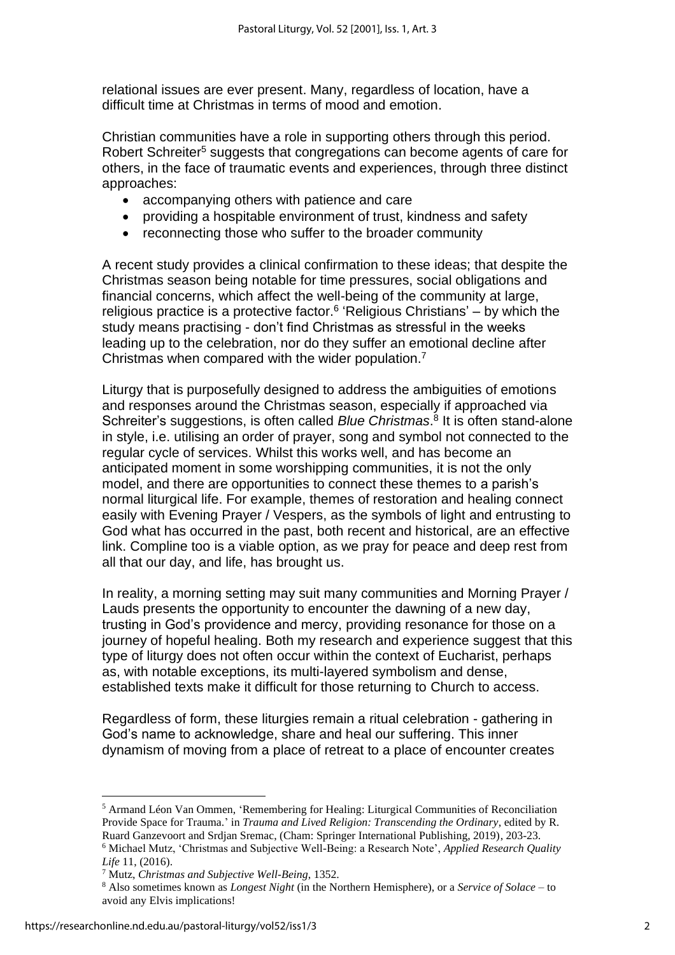relational issues are ever present. Many, regardless of location, have a difficult time at Christmas in terms of mood and emotion.

Christian communities have a role in supporting others through this period. Robert Schreiter<sup>5</sup> suggests that congregations can become agents of care for others, in the face of traumatic events and experiences, through three distinct approaches:

- accompanying others with patience and care
- providing a hospitable environment of trust, kindness and safety
- reconnecting those who suffer to the broader community

A recent study provides a clinical confirmation to these ideas; that despite the Christmas season being notable for time pressures, social obligations and financial concerns, which affect the well-being of the community at large, religious practice is a protective factor.<sup>6</sup> 'Religious Christians' – by which the study means practising - don't find Christmas as stressful in the weeks leading up to the celebration, nor do they suffer an emotional decline after Christmas when compared with the wider population.<sup>7</sup>

Liturgy that is purposefully designed to address the ambiguities of emotions and responses around the Christmas season, especially if approached via Schreiter's suggestions, is often called *Blue Christmas*. 8 It is often stand-alone in style, i.e. utilising an order of prayer, song and symbol not connected to the regular cycle of services. Whilst this works well, and has become an anticipated moment in some worshipping communities, it is not the only model, and there are opportunities to connect these themes to a parish's normal liturgical life. For example, themes of restoration and healing connect easily with Evening Prayer / Vespers, as the symbols of light and entrusting to God what has occurred in the past, both recent and historical, are an effective link. Compline too is a viable option, as we pray for peace and deep rest from all that our day, and life, has brought us.

In reality, a morning setting may suit many communities and Morning Prayer / Lauds presents the opportunity to encounter the dawning of a new day, trusting in God's providence and mercy, providing resonance for those on a journey of hopeful healing. Both my research and experience suggest that this type of liturgy does not often occur within the context of Eucharist, perhaps as, with notable exceptions, its multi-layered symbolism and dense, established texts make it difficult for those returning to Church to access.

Regardless of form, these liturgies remain a ritual celebration - gathering in God's name to acknowledge, share and heal our suffering. This inner dynamism of moving from a place of retreat to a place of encounter creates

<sup>5</sup> Armand Léon Van Ommen, 'Remembering for Healing: Liturgical Communities of Reconciliation Provide Space for Trauma.' in *Trauma and Lived Religion: Transcending the Ordinary*, edited by R. Ruard Ganzevoort and Srdjan Sremac, (Cham: Springer International Publishing, 2019), 203-23. <sup>6</sup> Michael Mutz, 'Christmas and Subjective Well-Being: a Research Note', *Applied Research Quality Life* 11, (2016).

<sup>7</sup> Mutz, *Christmas and Subjective Well-Being*, 1352.

<sup>8</sup> Also sometimes known as *Longest Night* (in the Northern Hemisphere), or a *Service of Solace* – to avoid any Elvis implications!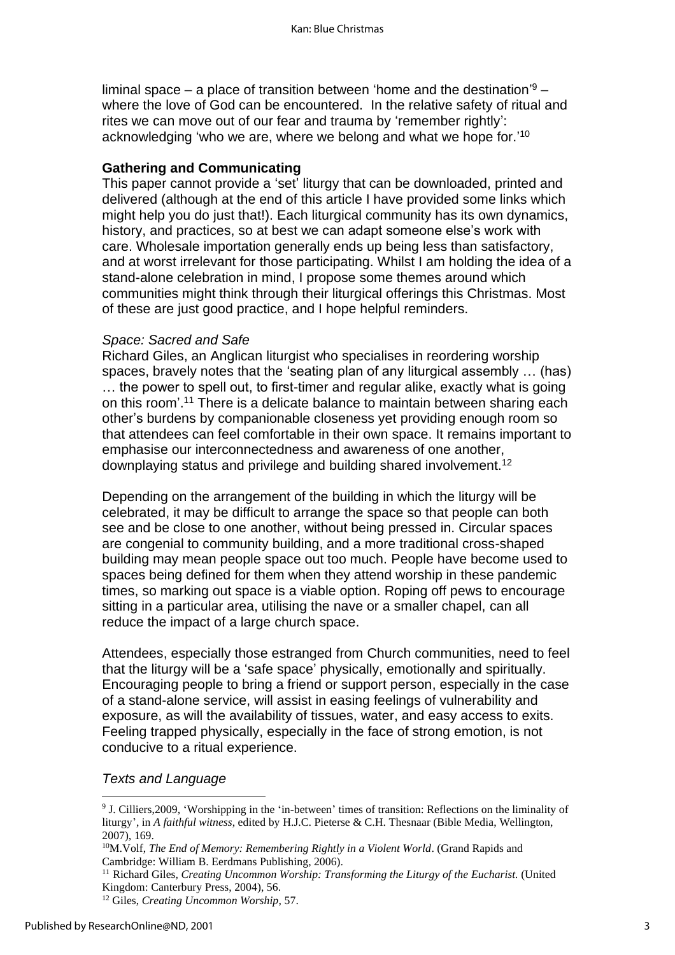liminal space – a place of transition between 'home and the destination'<sup>9</sup> – where the love of God can be encountered. In the relative safety of ritual and rites we can move out of our fear and trauma by 'remember rightly': acknowledging 'who we are, where we belong and what we hope for.' $^{\rm 10}$ 

#### **Gathering and Communicating**

This paper cannot provide a 'set' liturgy that can be downloaded, printed and delivered (although at the end of this article I have provided some links which might help you do just that!). Each liturgical community has its own dynamics, history, and practices, so at best we can adapt someone else's work with care. Wholesale importation generally ends up being less than satisfactory, and at worst irrelevant for those participating. Whilst I am holding the idea of a stand-alone celebration in mind, I propose some themes around which communities might think through their liturgical offerings this Christmas. Most of these are just good practice, and I hope helpful reminders.

#### *Space: Sacred and Safe*

Richard Giles, an Anglican liturgist who specialises in reordering worship spaces, bravely notes that the 'seating plan of any liturgical assembly … (has) … the power to spell out, to first-timer and regular alike, exactly what is going on this room'. <sup>11</sup> There is a delicate balance to maintain between sharing each other's burdens by companionable closeness yet providing enough room so that attendees can feel comfortable in their own space. It remains important to emphasise our interconnectedness and awareness of one another, downplaying status and privilege and building shared involvement.<sup>12</sup>

Depending on the arrangement of the building in which the liturgy will be celebrated, it may be difficult to arrange the space so that people can both see and be close to one another, without being pressed in. Circular spaces are congenial to community building, and a more traditional cross-shaped building may mean people space out too much. People have become used to spaces being defined for them when they attend worship in these pandemic times, so marking out space is a viable option. Roping off pews to encourage sitting in a particular area, utilising the nave or a smaller chapel, can all reduce the impact of a large church space.

Attendees, especially those estranged from Church communities, need to feel that the liturgy will be a 'safe space' physically, emotionally and spiritually. Encouraging people to bring a friend or support person, especially in the case of a stand-alone service, will assist in easing feelings of vulnerability and exposure, as will the availability of tissues, water, and easy access to exits. Feeling trapped physically, especially in the face of strong emotion, is not conducive to a ritual experience.

#### *Texts and Language*

<sup>11</sup> Richard Giles*, Creating Uncommon Worship: Transforming the Liturgy of the Eucharist.* (United Kingdom: Canterbury Press, 2004), 56.

<sup>9</sup> J. Cilliers,2009, 'Worshipping in the 'in-between' times of transition: Reflections on the liminality of liturgy', in *A faithful witness*, edited by H.J.C. Pieterse & C.H. Thesnaar (Bible Media, Wellington, 2007), 169.

<sup>&</sup>lt;sup>10</sup>M. Volf, *The End of Memory: Remembering Rightly in a Violent World*. (Grand Rapids and Cambridge: William B. Eerdmans Publishing, 2006).

<sup>12</sup> Giles, *Creating Uncommon Worship*, 57.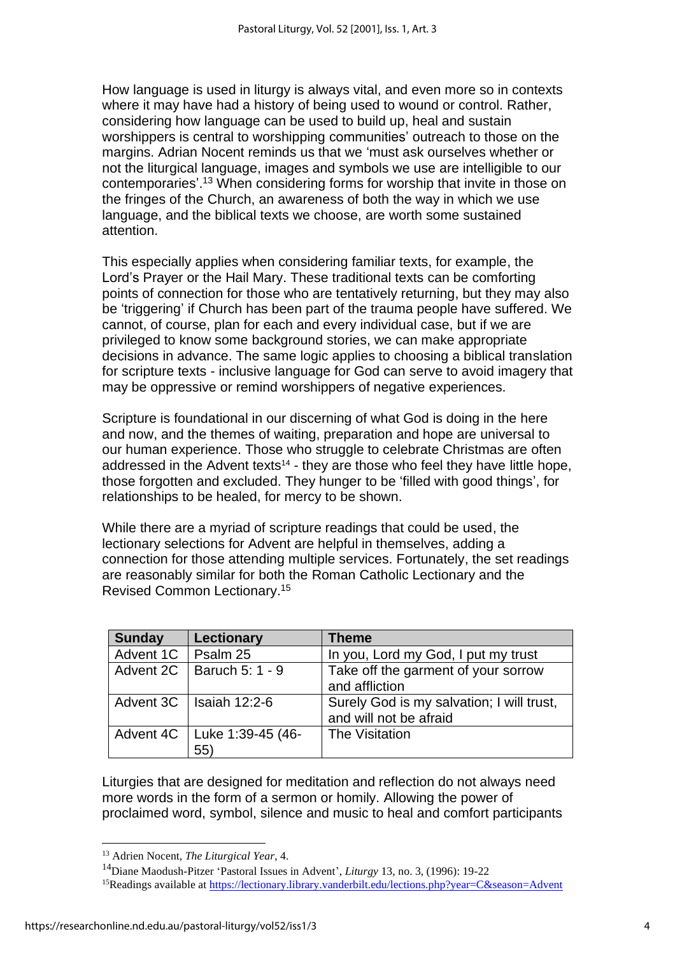How language is used in liturgy is always vital, and even more so in contexts where it may have had a history of being used to wound or control. Rather, considering how language can be used to build up, heal and sustain worshippers is central to worshipping communities' outreach to those on the margins. Adrian Nocent reminds us that we 'must ask ourselves whether or not the liturgical language, images and symbols we use are intelligible to our contemporaries'. <sup>13</sup> When considering forms for worship that invite in those on the fringes of the Church, an awareness of both the way in which we use language, and the biblical texts we choose, are worth some sustained attention.

This especially applies when considering familiar texts, for example, the Lord's Prayer or the Hail Mary. These traditional texts can be comforting points of connection for those who are tentatively returning, but they may also be 'triggering' if Church has been part of the trauma people have suffered. We cannot, of course, plan for each and every individual case, but if we are privileged to know some background stories, we can make appropriate decisions in advance. The same logic applies to choosing a biblical translation for scripture texts - inclusive language for God can serve to avoid imagery that may be oppressive or remind worshippers of negative experiences.

Scripture is foundational in our discerning of what God is doing in the here and now, and the themes of waiting, preparation and hope are universal to our human experience. Those who struggle to celebrate Christmas are often addressed in the Advent texts<sup>14</sup> - they are those who feel they have little hope, those forgotten and excluded. They hunger to be 'filled with good things', for relationships to be healed, for mercy to be shown.

While there are a myriad of scripture readings that could be used, the lectionary selections for Advent are helpful in themselves, adding a connection for those attending multiple services. Fortunately, the set readings are reasonably similar for both the Roman Catholic Lectionary and the Revised Common Lectionary. 15

| <b>Sunday</b> | <b>Lectionary</b>                 | <b>Theme</b>                                                        |
|---------------|-----------------------------------|---------------------------------------------------------------------|
| Advent 1C     | Psalm 25                          | In you, Lord my God, I put my trust                                 |
| Advent 2C     | Baruch 5: 1 - 9                   | Take off the garment of your sorrow<br>and affliction               |
| Advent 3C     | Isaiah 12:2-6                     | Surely God is my salvation; I will trust,<br>and will not be afraid |
| Advent 4C     | Luke 1:39-45 (46-<br>$55^{\circ}$ | The Visitation                                                      |

Liturgies that are designed for meditation and reflection do not always need more words in the form of a sermon or homily. Allowing the power of proclaimed word, symbol, silence and music to heal and comfort participants

<sup>13</sup> Adrien Nocent, *The Liturgical Year*, 4.

<sup>14</sup>Diane Maodush-Pitzer 'Pastoral Issues in Advent', *Liturgy* 13, no. 3, (1996): 19-22

<sup>&</sup>lt;sup>15</sup>Readings available at<https://lectionary.library.vanderbilt.edu/lections.php?year=C&season=Advent>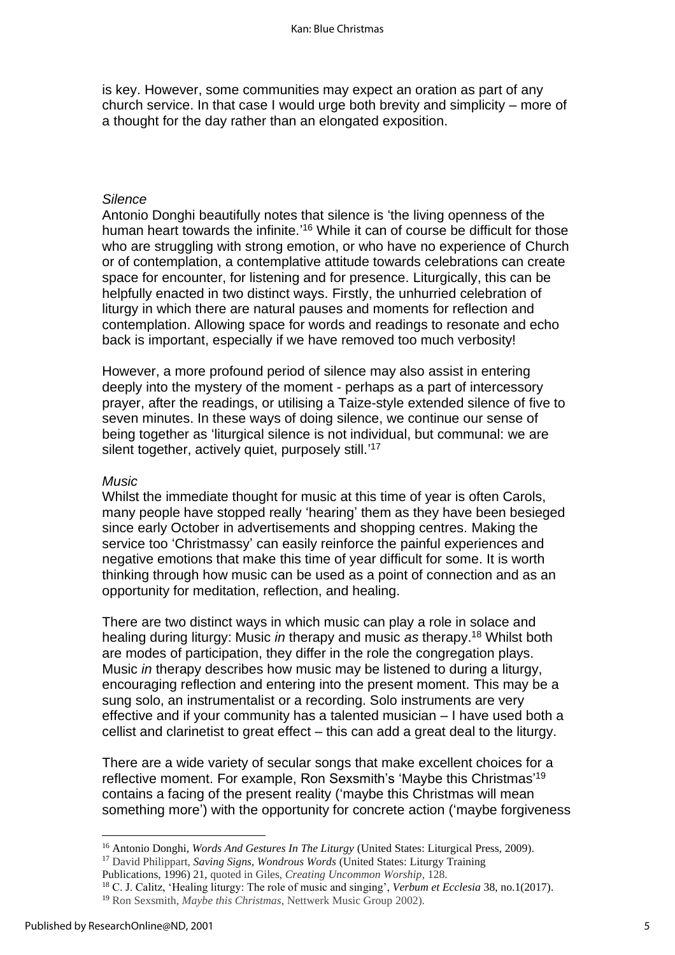is key. However, some communities may expect an oration as part of any church service. In that case I would urge both brevity and simplicity – more of a thought for the day rather than an elongated exposition.

#### *Silence*

Antonio Donghi beautifully notes that silence is 'the living openness of the human heart towards the infinite.'<sup>16</sup> While it can of course be difficult for those who are struggling with strong emotion, or who have no experience of Church or of contemplation, a contemplative attitude towards celebrations can create space for encounter, for listening and for presence. Liturgically, this can be helpfully enacted in two distinct ways. Firstly, the unhurried celebration of liturgy in which there are natural pauses and moments for reflection and contemplation. Allowing space for words and readings to resonate and echo back is important, especially if we have removed too much verbosity!

However, a more profound period of silence may also assist in entering deeply into the mystery of the moment - perhaps as a part of intercessory prayer, after the readings, or utilising a Taize-style extended silence of five to seven minutes. In these ways of doing silence, we continue our sense of being together as 'liturgical silence is not individual, but communal: we are silent together, actively quiet, purposely still.'<sup>17</sup>

#### *Music*

Whilst the immediate thought for music at this time of year is often Carols, many people have stopped really 'hearing' them as they have been besieged since early October in advertisements and shopping centres. Making the service too 'Christmassy' can easily reinforce the painful experiences and negative emotions that make this time of year difficult for some. It is worth thinking through how music can be used as a point of connection and as an opportunity for meditation, reflection, and healing.

There are two distinct ways in which music can play a role in solace and healing during liturgy: Music *in* therapy and music *as* therapy.<sup>18</sup> Whilst both are modes of participation, they differ in the role the congregation plays. Music *in* therapy describes how music may be listened to during a liturgy, encouraging reflection and entering into the present moment. This may be a sung solo, an instrumentalist or a recording. Solo instruments are very effective and if your community has a talented musician – I have used both a cellist and clarinetist to great effect – this can add a great deal to the liturgy.

There are a wide variety of secular songs that make excellent choices for a reflective moment. For example, Ron Sexsmith's 'Maybe this Christmas'<sup>19</sup> contains a facing of the present reality ('maybe this Christmas will mean something more') with the opportunity for concrete action ('maybe forgiveness

<sup>16</sup> Antonio Donghi, *Words And Gestures In The Liturgy* (United States: Liturgical Press, 2009).

<sup>17</sup> David Philippart, *Saving Signs, Wondrous Words* (United States: Liturgy Training

Publications, 1996) 21, quoted in Giles, *Creating Uncommon Worship,* 128.

<sup>18</sup> C. J. Calitz, 'Healing liturgy: The role of music and singing', *Verbum et Ecclesia* 38, no.1(2017). <sup>19</sup> Ron Sexsmith, *Maybe this Christmas*, Nettwerk Music Group 2002).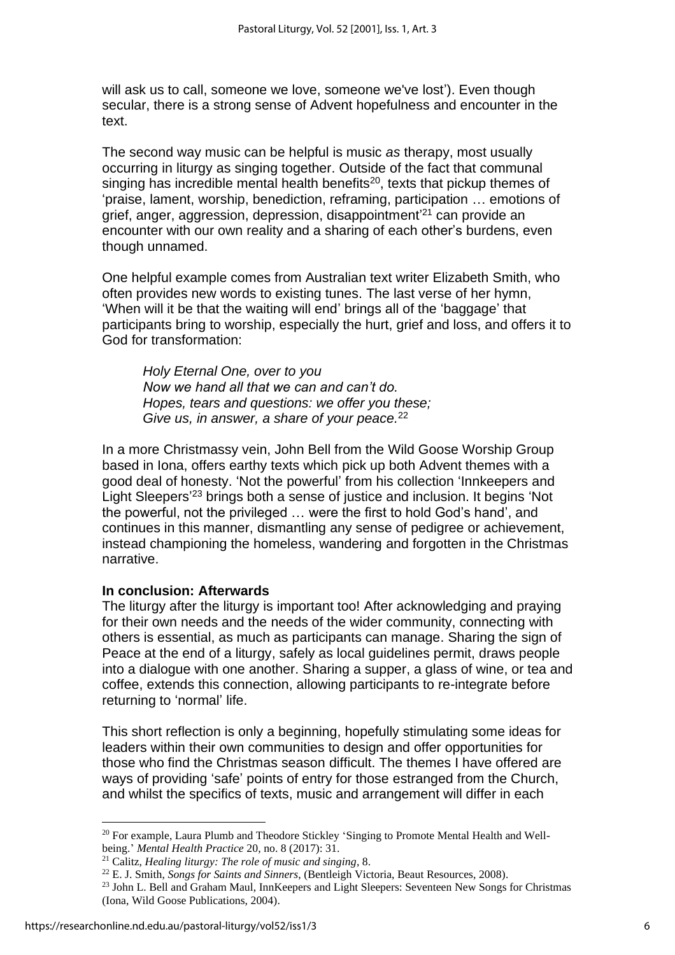will ask us to call, someone we love, someone we've lost'). Even though secular, there is a strong sense of Advent hopefulness and encounter in the text.

The second way music can be helpful is music *as* therapy, most usually occurring in liturgy as singing together. Outside of the fact that communal singing has incredible mental health benefits $^{20}$ , texts that pickup themes of 'praise, lament, worship, benediction, reframing, participation … emotions of grief, anger, aggression, depression, disappointment' <sup>21</sup> can provide an encounter with our own reality and a sharing of each other's burdens, even though unnamed.

One helpful example comes from Australian text writer Elizabeth Smith, who often provides new words to existing tunes. The last verse of her hymn, 'When will it be that the waiting will end' brings all of the 'baggage' that participants bring to worship, especially the hurt, grief and loss, and offers it to God for transformation:

*Holy Eternal One, over to you Now we hand all that we can and can't do. Hopes, tears and questions: we offer you these; Give us, in answer, a share of your peace.*<sup>22</sup>

In a more Christmassy vein, John Bell from the Wild Goose Worship Group based in Iona, offers earthy texts which pick up both Advent themes with a good deal of honesty. 'Not the powerful' from his collection 'Innkeepers and Light Sleepers' <sup>23</sup> brings both a sense of justice and inclusion. It begins 'Not the powerful, not the privileged … were the first to hold God's hand', and continues in this manner, dismantling any sense of pedigree or achievement, instead championing the homeless, wandering and forgotten in the Christmas narrative.

#### **In conclusion: Afterwards**

The liturgy after the liturgy is important too! After acknowledging and praying for their own needs and the needs of the wider community, connecting with others is essential, as much as participants can manage. Sharing the sign of Peace at the end of a liturgy, safely as local guidelines permit, draws people into a dialogue with one another. Sharing a supper, a glass of wine, or tea and coffee, extends this connection, allowing participants to re-integrate before returning to 'normal' life.

This short reflection is only a beginning, hopefully stimulating some ideas for leaders within their own communities to design and offer opportunities for those who find the Christmas season difficult. The themes I have offered are ways of providing 'safe' points of entry for those estranged from the Church, and whilst the specifics of texts, music and arrangement will differ in each

<sup>&</sup>lt;sup>20</sup> For example, Laura Plumb and Theodore Stickley 'Singing to Promote Mental Health and Wellbeing.' *Mental Health Practice* 20, no. 8 (2017): 31.

<sup>21</sup> Calitz, *Healing liturgy: The role of music and singing*, 8.

<sup>22</sup> E. J. Smith, *Songs for Saints and Sinners*, (Bentleigh Victoria, Beaut Resources, 2008).

<sup>&</sup>lt;sup>23</sup> John L. Bell and Graham Maul, InnKeepers and Light Sleepers: Seventeen New Songs for Christmas (Iona, Wild Goose Publications, 2004).